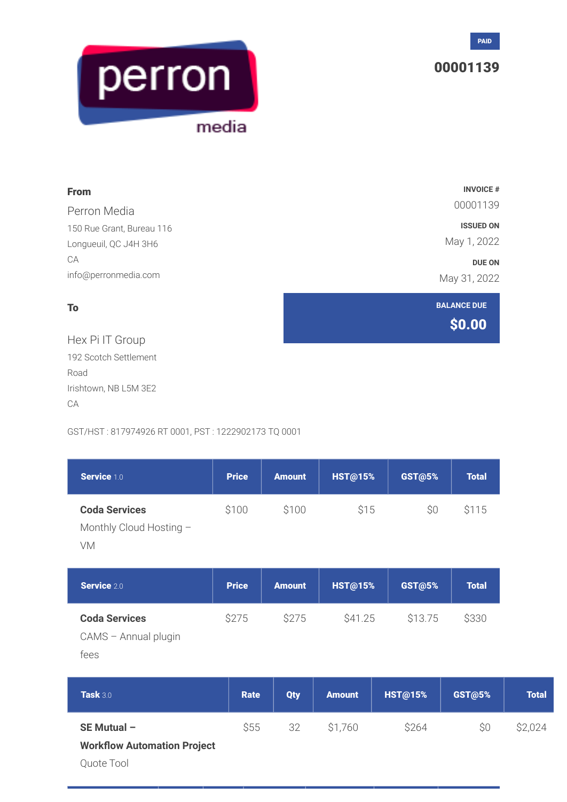

## 00001139



| <b>From</b>               | <b>INVOICE #</b>             |
|---------------------------|------------------------------|
| Perron Media              | 00001139                     |
| 150 Rue Grant, Bureau 116 | <b>ISSUED ON</b>             |
| Longueuil, QC J4H 3H6     | May 1, 2022                  |
| CA                        | <b>DUE ON</b>                |
| info@perronmedia.com      | May 31, 2022                 |
| To                        | <b>BALANCE DUE</b><br>\$0.00 |
| Hex Pi IT Group           |                              |
| 192 Scotch Settlement     |                              |
| Road                      |                              |
| Irishtown, NB L5M 3E2     |                              |

CA

GST/HST : 817974926 RT 0001, PST : 1222902173 TQ 0001

| Service 1.0                                           | <b>Price</b> | <b>Amount</b> | <b>HST@15%</b> | GST@5%         | <b>Total</b>  |
|-------------------------------------------------------|--------------|---------------|----------------|----------------|---------------|
| <b>Coda Services</b><br>Monthly Cloud Hosting -<br>VM | \$100        | \$100         | \$15           | \$0            | \$115         |
| Service 2.0                                           | <b>Price</b> | <b>Amount</b> | <b>HST@15%</b> | <b>GST@5%</b>  | <b>Total</b>  |
| <b>Coda Services</b><br>CAMS - Annual plugin<br>fees  | \$275        | \$275         | \$41.25        | \$13.75        | \$330         |
| <b>Task 3.0</b>                                       | <b>Rate</b>  | <b>Qty</b>    | <b>Amount</b>  | <b>HST@15%</b> | <b>GST@5%</b> |
| SE Mutual -                                           | \$55         | 32            | \$1,760        | \$264          | \$0           |

## **Workflow Automation Project**

Quote Tool